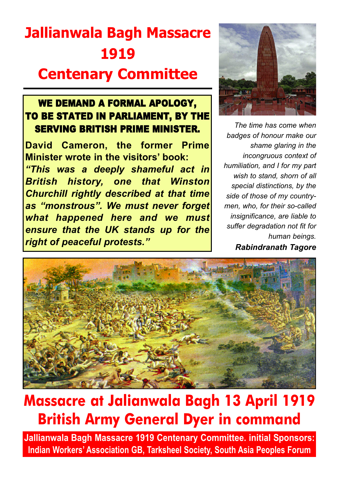# **Jallianwala Bagh Massacre 1919 Centenary Committee**

#### WE DEMAND A FORMAL APOLOGY, TO BE STATED IN PARLIAMENT, BY THE SERVING BRITISH PRIME MINISTER.

**David Cameron, the former Prime Minister wrote in the visitors' book:** *"This was a deeply shameful act in British history, one that Winston Churchill rightly described at that time as "monstrous". We must never forget what happened here and we must ensure that the UK stands up for the right of peaceful protests."*



*The time has come when badges of honour make our shame glaring in the incongruous context of humiliation, and I for my part wish to stand, shorn of all special distinctions, by the side of those of my countrymen, who, for their so-called insignificance, are liable to suffer degradation not fit for human beings. Rabindranath Tagore*



# **Massacre at Jalianwala Bagh 13 April 1919 British Army General Dyer in command**

**Jallianwala Bagh Massacre 1919 Centenary Committee. initial Sponsors: Indian Workers' Association GB, Tarksheel Society, South Asia Peoples Forum**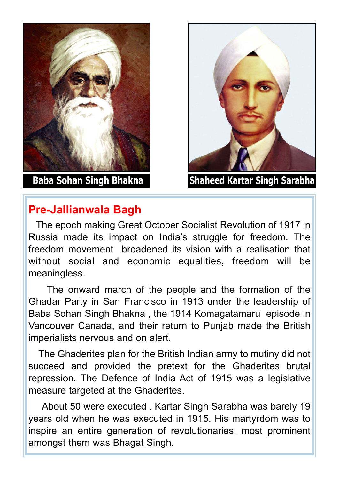

### **Pre-Jallianwala Bagh**

**Baba Sohan Singh Bhakna Shaheed Kartar Singh Sarabha**

The epoch making Great October Socialist Revolution of 1917 in Russia made its impact on India's struggle for freedom. The freedom movement broadened its vision with a realisation that without social and economic equalities, freedom will be meaningless.

The onward march of the people and the formation of the Ghadar Party in San Francisco in 1913 under the leadership of Baba Sohan Singh Bhakna , the 1914 Komagatamaru episode in Vancouver Canada, and their return to Punjab made the British imperialists nervous and on alert.

The Ghaderites plan for the British Indian army to mutiny did not succeed and provided the pretext for the Ghaderites brutal repression. The Defence of India Act of 1915 was a legislative measure targeted at the Ghaderites.

About 50 were executed . Kartar Singh Sarabha was barely 19 years old when he was executed in 1915. His martyrdom was to inspire an entire generation of revolutionaries, most prominent amongst them was Bhagat Singh.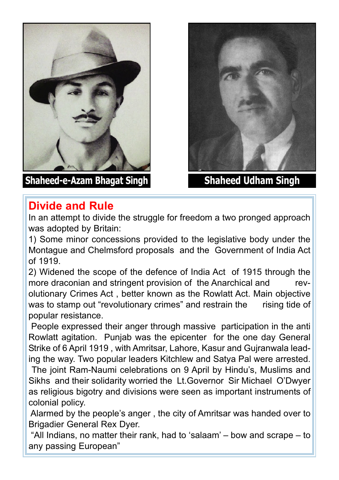

**Shaheed-e-Azam Bhagat Singh Shaheed Udham Singh**



### **Divide and Rule**

In an attempt to divide the struggle for freedom a two pronged approach was adopted by Britain:

1) Some minor concessions provided to the legislative body under the Montague and Chelmsford proposals and the Government of India Act of 1919.

2) Widened the scope of the defence of India Act of 1915 through the more draconian and stringent provision of the Anarchical and revolutionary Crimes Act , better known as the Rowlatt Act. Main objective was to stamp out "revolutionary crimes" and restrain the rising tide of popular resistance.

People expressed their anger through massive participation in the anti Rowlatt agitation. Punjab was the epicenter for the one day General Strike of 6 April 1919 , with Amritsar, Lahore, Kasur and Gujranwala leading the way. Two popular leaders Kitchlew and Satya Pal were arrested.

The joint Ram-Naumi celebrations on 9 April by Hindu's, Muslims and Sikhs and their solidarity worried the Lt.Governor Sir Michael O'Dwyer as religious bigotry and divisions were seen as important instruments of colonial policy.

Alarmed by the people's anger , the city of Amritsar was handed over to Brigadier General Rex Dyer.

"All Indians, no matter their rank, had to 'salaam' – bow and scrape – to any passing European"